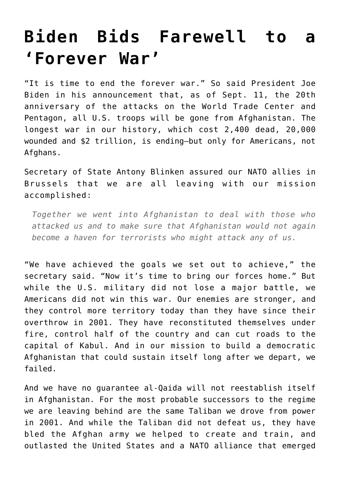## **[Biden Bids Farewell to a](https://intellectualtakeout.org/2021/04/biden-bids-farewell-to-a-forever-war/) ['Forever War'](https://intellectualtakeout.org/2021/04/biden-bids-farewell-to-a-forever-war/)**

"It is time to end the forever war." So said President Joe Biden in his announcement that, as of Sept. 11, the 20th anniversary of the attacks on the World Trade Center and Pentagon, all U.S. troops will be gone from Afghanistan. The longest war in our history, which cost 2,400 dead, 20,000 wounded and \$2 trillion, is ending—but only for Americans, not Afghans.

Secretary of State Antony Blinken assured our NATO allies in Brussels that we are all leaving with our mission accomplished:

*Together we went into Afghanistan to deal with those who attacked us and to make sure that Afghanistan would not again become a haven for terrorists who might attack any of us.*

"We have achieved the goals we set out to achieve," the secretary said. "Now it's time to bring our forces home." But while the U.S. military did not lose a major battle, we Americans did not win this war. Our enemies are stronger, and they control more territory today than they have since their overthrow in 2001. They have reconstituted themselves under fire, control half of the country and can cut roads to the capital of Kabul. And in our mission to build a democratic Afghanistan that could sustain itself long after we depart, we failed.

And we have no guarantee al-Qaida will not reestablish itself in Afghanistan. For the most probable successors to the regime we are leaving behind are the same Taliban we drove from power in 2001. And while the Taliban did not defeat us, they have bled the Afghan army we helped to create and train, and outlasted the United States and a NATO alliance that emerged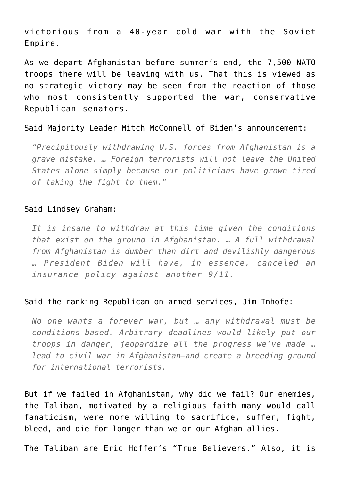victorious from a 40-year cold war with the Soviet Empire.

As we depart Afghanistan before summer's end, the 7,500 NATO troops there will be leaving with us. That this is viewed as no strategic victory may be seen from the reaction of those who most consistently supported the war, conservative Republican senators.

Said Majority Leader Mitch McConnell of Biden's announcement:

*"Precipitously withdrawing U.S. forces from Afghanistan is a grave mistake. … Foreign terrorists will not leave the United States alone simply because our politicians have grown tired of taking the fight to them."*

## Said Lindsey Graham:

*It is insane to withdraw at this time given the conditions that exist on the ground in Afghanistan. … A full withdrawal from Afghanistan is dumber than dirt and devilishly dangerous … President Biden will have, in essence, canceled an insurance policy against another 9/11.*

## Said the ranking Republican on armed services, Jim Inhofe:

*No one wants a forever war, but … any withdrawal must be conditions-based. Arbitrary deadlines would likely put our troops in danger, jeopardize all the progress we've made … lead to civil war in Afghanistan—and create a breeding ground for international terrorists.* 

But if we failed in Afghanistan, why did we fail? Our enemies, the Taliban, motivated by a religious faith many would call fanaticism, were more willing to sacrifice, suffer, fight, bleed, and die for longer than we or our Afghan allies.

The Taliban are Eric Hoffer's "True Believers." Also, it is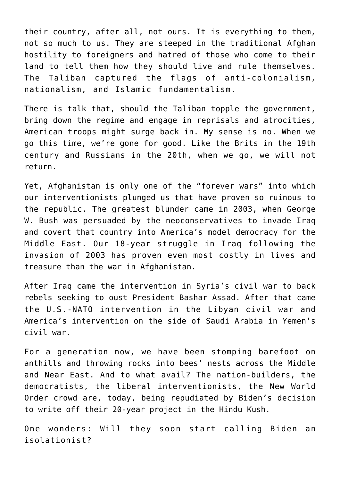their country, after all, not ours. It is everything to them, not so much to us. They are steeped in the traditional Afghan hostility to foreigners and hatred of those who come to their land to tell them how they should live and rule themselves. The Taliban captured the flags of anti-colonialism, nationalism, and Islamic fundamentalism.

There is talk that, should the Taliban topple the government, bring down the regime and engage in reprisals and atrocities, American troops might surge back in. My sense is no. When we go this time, we're gone for good. Like the Brits in the 19th century and Russians in the 20th, when we go, we will not return.

Yet, Afghanistan is only one of the "forever wars" into which our interventionists plunged us that have proven so ruinous to the republic. The greatest blunder came in 2003, when George W. Bush was persuaded by the neoconservatives to invade Iraq and covert that country into America's model democracy for the Middle East. Our 18-year struggle in Iraq following the invasion of 2003 has proven even most costly in lives and treasure than the war in Afghanistan.

After Iraq came the intervention in Syria's civil war to back rebels seeking to oust President Bashar Assad. After that came the U.S.-NATO intervention in the Libyan civil war and America's intervention on the side of Saudi Arabia in Yemen's civil war.

For a generation now, we have been stomping barefoot on anthills and throwing rocks into bees' nests across the Middle and Near East. And to what avail? The nation-builders, the democratists, the liberal interventionists, the New World Order crowd are, today, being repudiated by Biden's decision to write off their 20-year project in the Hindu Kush.

One wonders: Will they soon start calling Biden an isolationist?